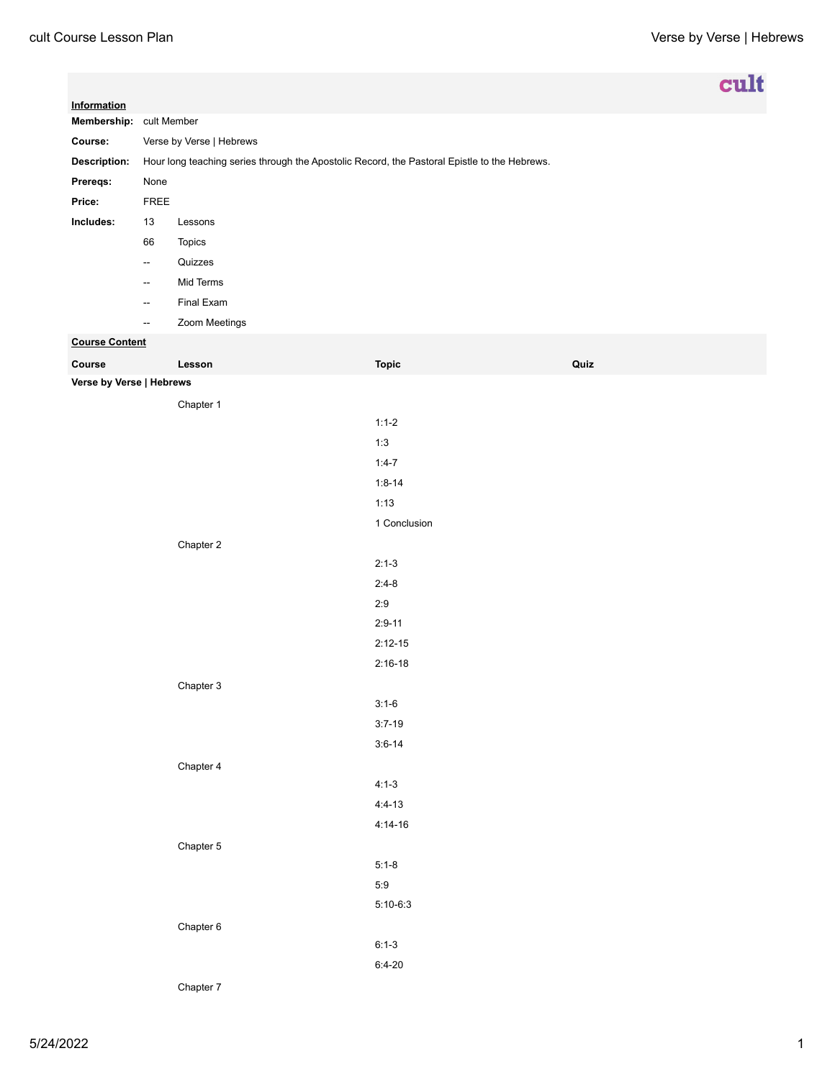|                                    |                                                                                              |                   |              |      | cult |
|------------------------------------|----------------------------------------------------------------------------------------------|-------------------|--------------|------|------|
| Information                        |                                                                                              |                   |              |      |      |
| Course:                            | Membership: cult Member                                                                      |                   |              |      |      |
| <b>Description:</b>                | Verse by Verse   Hebrews                                                                     |                   |              |      |      |
|                                    | Hour long teaching series through the Apostolic Record, the Pastoral Epistle to the Hebrews. |                   |              |      |      |
| Prereqs:<br>Price:                 | None                                                                                         |                   |              |      |      |
| Includes:                          | ${\sf FREE}$<br>13                                                                           | Lessons           |              |      |      |
|                                    | 66                                                                                           |                   |              |      |      |
|                                    | $\overline{\phantom{a}}$                                                                     | Topics<br>Quizzes |              |      |      |
|                                    | $\overline{\phantom{a}}$                                                                     | Mid Terms         |              |      |      |
|                                    |                                                                                              | Final Exam        |              |      |      |
|                                    | $\overline{\phantom{a}}$<br>$\sim$                                                           | Zoom Meetings     |              |      |      |
| <b>Course Content</b>              |                                                                                              |                   |              |      |      |
|                                    |                                                                                              |                   |              |      |      |
| Course<br>Verse by Verse   Hebrews |                                                                                              | Lesson            | <b>Topic</b> | Quiz |      |
|                                    |                                                                                              |                   |              |      |      |
|                                    |                                                                                              | Chapter 1         | $1:1-2$      |      |      |
|                                    |                                                                                              |                   | 1:3          |      |      |
|                                    |                                                                                              |                   | $1:4-7$      |      |      |
|                                    |                                                                                              |                   | $1:8 - 14$   |      |      |
|                                    |                                                                                              |                   | 1:13         |      |      |
|                                    |                                                                                              |                   | 1 Conclusion |      |      |
|                                    |                                                                                              |                   |              |      |      |
|                                    |                                                                                              | Chapter 2         | $2:1-3$      |      |      |
|                                    |                                                                                              |                   | $2:4-8$      |      |      |
|                                    |                                                                                              |                   | 2:9          |      |      |
|                                    |                                                                                              |                   | $2:9-11$     |      |      |
|                                    |                                                                                              |                   | $2:12-15$    |      |      |
|                                    |                                                                                              |                   | $2:16-18$    |      |      |
|                                    |                                                                                              | Chapter 3         |              |      |      |
|                                    |                                                                                              |                   | $3:1-6$      |      |      |
|                                    |                                                                                              |                   | $3:7-19$     |      |      |
|                                    |                                                                                              |                   | $3:6 - 14$   |      |      |
|                                    |                                                                                              | Chapter 4         |              |      |      |
|                                    |                                                                                              |                   | $4:1-3$      |      |      |
|                                    |                                                                                              |                   | $4:4-13$     |      |      |
|                                    |                                                                                              |                   | $4:14-16$    |      |      |
|                                    |                                                                                              | Chapter 5         |              |      |      |
|                                    |                                                                                              |                   | $5:1-8$      |      |      |
|                                    |                                                                                              |                   | 5:9          |      |      |
|                                    |                                                                                              |                   | $5:10-6:3$   |      |      |
|                                    |                                                                                              | Chapter 6         |              |      |      |
|                                    |                                                                                              |                   | $6:1-3$      |      |      |
|                                    |                                                                                              |                   | $6:4-20$     |      |      |
|                                    |                                                                                              |                   |              |      |      |

Chapter 7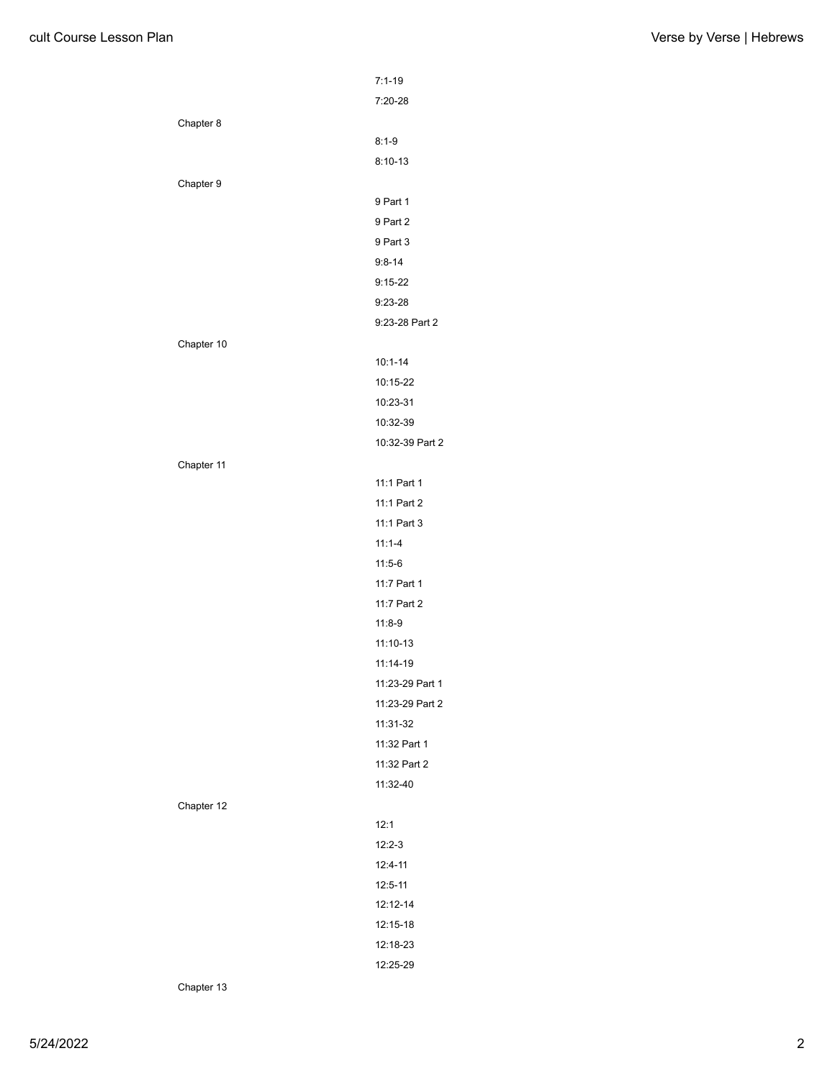|            | $7:1-19$        |
|------------|-----------------|
|            | $7:20-28$       |
| Chapter 8  |                 |
|            | $8:1 - 9$       |
|            | $8:10-13$       |
| Chapter 9  |                 |
|            | 9 Part 1        |
|            | 9 Part 2        |
|            | 9 Part 3        |
|            | $9:8 - 14$      |
|            | $9:15-22$       |
|            | $9:23-28$       |
|            | 9:23-28 Part 2  |
| Chapter 10 |                 |
|            | $10:1 - 14$     |
|            | 10:15-22        |
|            | 10:23-31        |
|            | 10:32-39        |
|            | 10:32-39 Part 2 |
| Chapter 11 |                 |
|            | 11:1 Part 1     |
|            | 11:1 Part 2     |
|            | 11:1 Part 3     |
|            | $11:1 - 4$      |
|            | $11:5-6$        |
|            | 11:7 Part 1     |
|            | 11:7 Part 2     |
|            | $11:8-9$        |
|            | $11:10-13$      |
|            | 11:14-19        |
|            | 11:23-29 Part 1 |
|            | 11:23-29 Part 2 |
|            | 11:31-32        |
|            | 11:32 Part 1    |
|            | 11:32 Part 2    |
|            | 11:32-40        |
| Chapter 12 |                 |
|            | 12:1            |
|            | $12:2-3$        |
|            | 12:4-11         |
|            | 12:5-11         |
|            | 12:12-14        |
|            | 12:15-18        |
|            | 12:18-23        |
|            | 12:25-29        |
|            |                 |

Chapter 13